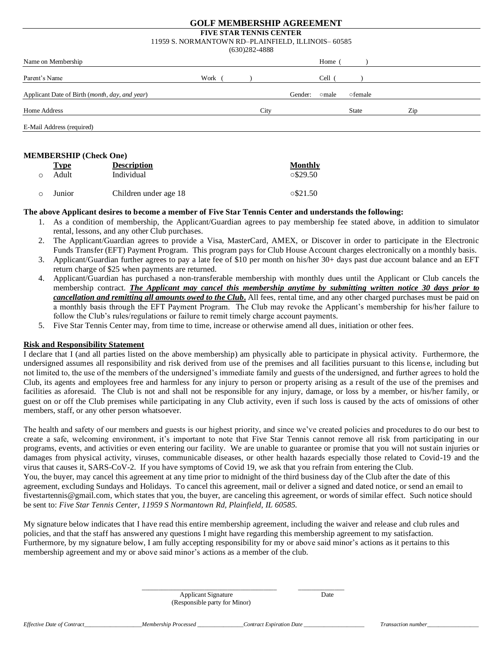#### **GOLF MEMBERSHIP AGREEMENT**

## **FIVE STAR TENNIS CENTER** 11959 S. NORMANTOWN RD–PLAINFIELD, ILLINOIS– 60585

|                                                |      | $(630)282 - 4888$ |      |         |        |         |     |
|------------------------------------------------|------|-------------------|------|---------|--------|---------|-----|
| Name on Membership                             |      |                   |      |         | Home   |         |     |
| Parent's Name                                  | Work |                   |      |         | Cell ( |         |     |
| Applicant Date of Birth (month, day, and year) |      |                   |      | Gender: | ⊙male  | ofemale |     |
| Home Address                                   |      |                   | City |         |        | State   | Zip |
| E-Mail Address (required)                      |      |                   |      |         |        |         |     |

#### **MEMBERSHIP (Check One)**

|         | Type   | <b>Description</b>    | Monthly         |
|---------|--------|-----------------------|-----------------|
| ∩       | Adult  | Individual            | $\circ$ \$29.50 |
| $\circ$ | Junior | Children under age 18 | $\circ$ \$21.50 |

#### **The above Applicant desires to become a member of Five Star Tennis Center and understands the following:**

- 1. As a condition of membership, the Applicant/Guardian agrees to pay membership fee stated above, in addition to simulator rental, lessons, and any other Club purchases.
- 2. The Applicant/Guardian agrees to provide a Visa, MasterCard, AMEX, or Discover in order to participate in the Electronic Funds Transfer (EFT) Payment Program. This program pays for Club House Account charges electronically on a monthly basis.
- 3. Applicant/Guardian further agrees to pay a late fee of \$10 per month on his/her 30+ days past due account balance and an EFT return charge of \$25 when payments are returned.
- 4. Applicant/Guardian has purchased a non-transferable membership with monthly dues until the Applicant or Club cancels the membership contract*. The Applicant may cancel this membership anytime by submitting written notice 30 days prior to cancellation and remitting all amounts owed to the Club***.** All fees, rental time, and any other charged purchases must be paid on a monthly basis through the EFT Payment Program. The Club may revoke the Applicant's membership for his/her failure to follow the Club's rules/regulations or failure to remit timely charge account payments.
- 5. Five Star Tennis Center may, from time to time, increase or otherwise amend all dues, initiation or other fees.

### **Risk and Responsibility Statement**

I declare that I (and all parties listed on the above membership) am physically able to participate in physical activity. Furthermore, the undersigned assumes all responsibility and risk derived from use of the premises and all facilities pursuant to this licens e, including but not limited to, the use of the members of the undersigned's immediate family and guests of the undersigned, and further agrees to hold the Club, its agents and employees free and harmless for any injury to person or property arising as a result of the use of the premises and facilities as aforesaid. The Club is not and shall not be responsible for any injury, damage, or loss by a member, or his/her family, or guest on or off the Club premises while participating in any Club activity, even if such loss is caused by the acts of omissions of other members, staff, or any other person whatsoever.

The health and safety of our members and guests is our highest priority, and since we've created policies and procedures to do our best to create a safe, welcoming environment, it's important to note that Five Star Tennis cannot remove all risk from participating in our programs, events, and activities or even entering our facility. We are unable to guarantee or promise that you will not sustain injuries or damages from physical activity, viruses, communicable diseases, or other health hazards especially those related to Covid-19 and the virus that causes it, SARS-CoV-2. If you have symptoms of Covid 19, we ask that you refrain from entering the Club. You, the buyer, may cancel this agreement at any time prior to midnight of the third business day of the Club after the date of this agreement, excluding Sundays and Holidays. To cancel this agreement, mail or deliver a signed and dated notice, or send an email to fivestartennis@gmail.com, which states that you, the buyer, are canceling this agreement, or words of similar effect. Such notice should be sent to: *Five Star Tennis Center, 11959 S Normantown Rd, Plainfield, IL 60585.*

My signature below indicates that I have read this entire membership agreement, including the waiver and release and club rules and policies, and that the staff has answered any questions I might have regarding this membership agreement to my satisfaction. Furthermore, by my signature below, I am fully accepting responsibility for my or above said minor's actions as it pertains to this membership agreement and my or above said minor's actions as a member of the club.

\_\_\_\_\_\_\_\_\_\_\_\_\_\_\_\_\_\_\_\_\_\_\_\_\_\_\_\_\_\_\_\_\_\_\_\_\_\_\_\_\_ \_\_\_\_\_\_\_\_\_\_\_\_\_\_

Applicant Signature Date (Responsible party for Minor)